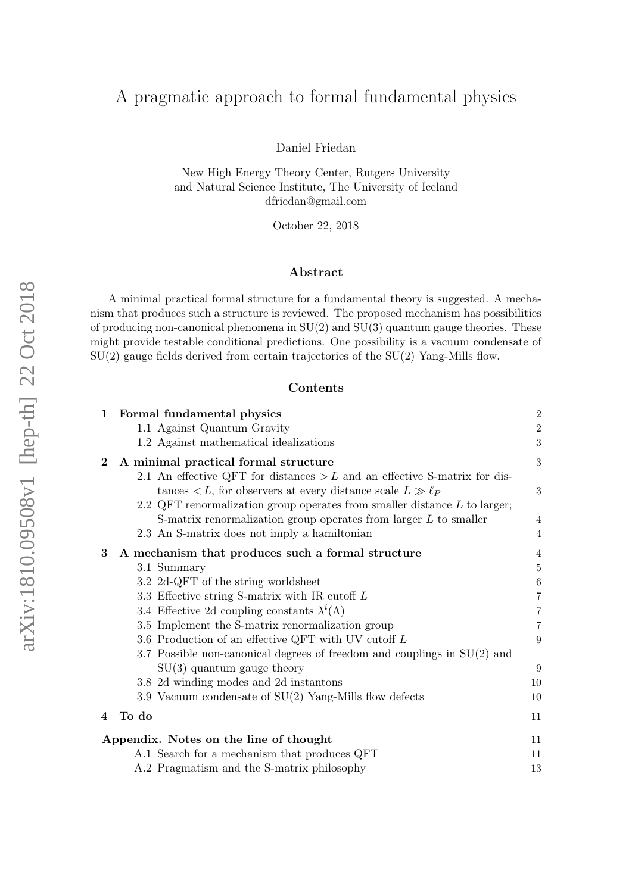# A pragmatic approach to formal fundamental physics

Daniel Friedan

New High Energy Theory Center, Rutgers University and Natural Science Institute, The University of Iceland dfriedan@gmail.com

October 22, 2018

### Abstract

A minimal practical formal structure for a fundamental theory is suggested. A mechanism that produces such a structure is reviewed. The proposed mechanism has possibilities of producing non-canonical phenomena in  $SU(2)$  and  $SU(3)$  quantum gauge theories. These might provide testable conditional predictions. One possibility is a vacuum condensate of  $SU(2)$  gauge fields derived from certain trajectories of the  $SU(2)$  Yang-Mills flow.

#### Contents

| 1        | Formal fundamental physics                                                      |  | $\boldsymbol{2}$ |
|----------|---------------------------------------------------------------------------------|--|------------------|
|          | 1.1 Against Quantum Gravity                                                     |  | $\,2$            |
|          | 1.2 Against mathematical idealizations                                          |  | $\sqrt{3}$       |
| $\bf{2}$ | A minimal practical formal structure                                            |  | $\boldsymbol{3}$ |
|          | 2.1 An effective QFT for distances $>L$ and an effective S-matrix for dis-      |  |                  |
|          | tances $\langle L, \text{ for observers at every distance scale } L \gg \ell_P$ |  | 3                |
|          | 2.2 QFT renormalization group operates from smaller distance $L$ to larger;     |  |                  |
|          | S-matrix renormalization group operates from larger $L$ to smaller              |  | 4                |
|          | 2.3 An S-matrix does not imply a hamiltonian                                    |  | $\overline{4}$   |
| 3        | A mechanism that produces such a formal structure                               |  | 4                |
|          | 3.1 Summary                                                                     |  | 5                |
|          | 3.2 2d-QFT of the string worldsheet                                             |  | $\,6$            |
|          | 3.3 Effective string S-matrix with IR cutoff $L$                                |  | 7                |
|          | 3.4 Effective 2d coupling constants $\lambda^{i}(\Lambda)$                      |  | 7                |
|          | 3.5 Implement the S-matrix renormalization group                                |  | 7                |
|          | 3.6 Production of an effective QFT with UV cutoff L                             |  | 9                |
|          | 3.7 Possible non-canonical degrees of freedom and couplings in $SU(2)$ and      |  |                  |
|          | $SU(3)$ quantum gauge theory                                                    |  | 9                |
|          | 3.8 2d winding modes and 2d instantons                                          |  | 10               |
|          | 3.9 Vacuum condensate of $SU(2)$ Yang-Mills flow defects                        |  | 10               |
| 4        | To do                                                                           |  | 11               |
|          | Appendix. Notes on the line of thought                                          |  |                  |
|          | A.1 Search for a mechanism that produces QFT                                    |  | 11               |
|          | A.2 Pragmatism and the S-matrix philosophy                                      |  | 13               |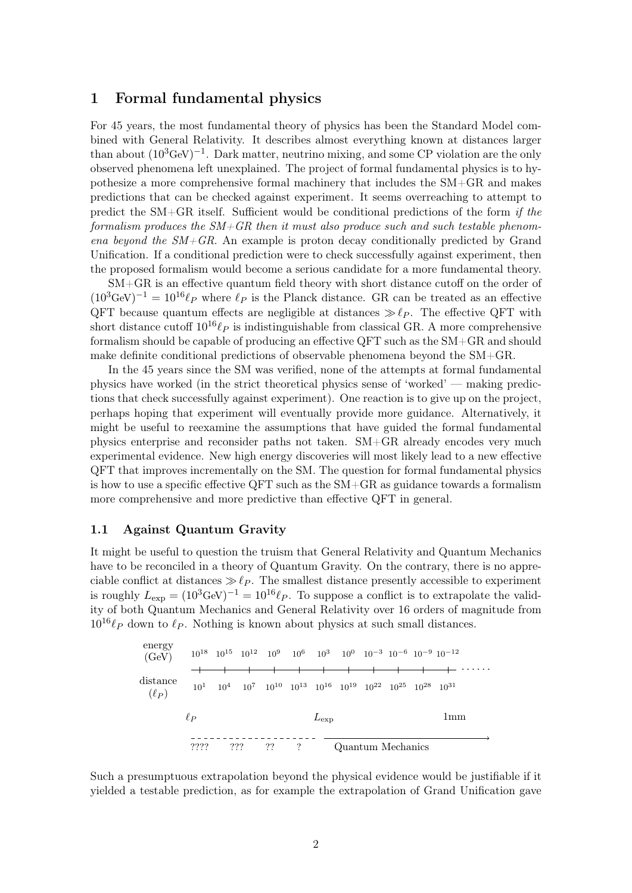# <span id="page-1-0"></span>1 Formal fundamental physics

For 45 years, the most fundamental theory of physics has been the Standard Model combined with General Relativity. It describes almost everything known at distances larger than about  $(10^3 \text{GeV})^{-1}$ . Dark matter, neutrino mixing, and some CP violation are the only observed phenomena left unexplained. The project of formal fundamental physics is to hypothesize a more comprehensive formal machinery that includes the SM+GR and makes predictions that can be checked against experiment. It seems overreaching to attempt to predict the SM+GR itself. Sufficient would be conditional predictions of the form if the formalism produces the  $SM+GR$  then it must also produce such and such testable phenomena beyond the  $SM+GR$ . An example is proton decay conditionally predicted by Grand Unification. If a conditional prediction were to check successfully against experiment, then the proposed formalism would become a serious candidate for a more fundamental theory.

SM+GR is an effective quantum field theory with short distance cutoff on the order of  $(10^3 \text{GeV})^{-1} = 10^{16} \ell_P$  where  $\ell_P$  is the Planck distance. GR can be treated as an effective QFT because quantum effects are negligible at distances  $\gg \ell_P$ . The effective QFT with short distance cutoff  $10^{16}\ell_P$  is indistinguishable from classical GR. A more comprehensive formalism should be capable of producing an effective QFT such as the SM+GR and should make definite conditional predictions of observable phenomena beyond the SM+GR.

In the 45 years since the SM was verified, none of the attempts at formal fundamental physics have worked (in the strict theoretical physics sense of 'worked' — making predictions that check successfully against experiment). One reaction is to give up on the project, perhaps hoping that experiment will eventually provide more guidance. Alternatively, it might be useful to reexamine the assumptions that have guided the formal fundamental physics enterprise and reconsider paths not taken. SM+GR already encodes very much experimental evidence. New high energy discoveries will most likely lead to a new effective QFT that improves incrementally on the SM. The question for formal fundamental physics is how to use a specific effective QFT such as the SM+GR as guidance towards a formalism more comprehensive and more predictive than effective QFT in general.

### <span id="page-1-1"></span>1.1 Against Quantum Gravity

It might be useful to question the truism that General Relativity and Quantum Mechanics have to be reconciled in a theory of Quantum Gravity. On the contrary, there is no appreciable conflict at distances  $\gg \ell_P$ . The smallest distance presently accessible to experiment is roughly  $L_{\text{exp}} = (10^3 \text{GeV})^{-1} = 10^{16} \ell_P$ . To suppose a conflict is to extrapolate the validity of both Quantum Mechanics and General Relativity over 16 orders of magnitude from  $10^{16}\ell_P$  down to  $\ell_P$ . Nothing is known about physics at such small distances.

10<sup>18</sup> 10<sup>1</sup> 10<sup>15</sup> 10<sup>4</sup> 10<sup>12</sup> 10<sup>7</sup> 10<sup>9</sup> 10<sup>10</sup> 10<sup>6</sup> 10<sup>13</sup> 10<sup>3</sup> 10<sup>16</sup> 10<sup>0</sup> 10<sup>19</sup> 10−<sup>3</sup> 10<sup>22</sup> 10−<sup>6</sup> 10<sup>25</sup> 10−<sup>9</sup> 10<sup>28</sup> 10−<sup>12</sup> 10<sup>31</sup> energy (GeV) distance (`<sup>P</sup> ) · · · · · · `<sup>P</sup> Lexp 1mm ???? ??? ?? ? Quantum Mechanics

Such a presumptuous extrapolation beyond the physical evidence would be justifiable if it yielded a testable prediction, as for example the extrapolation of Grand Unification gave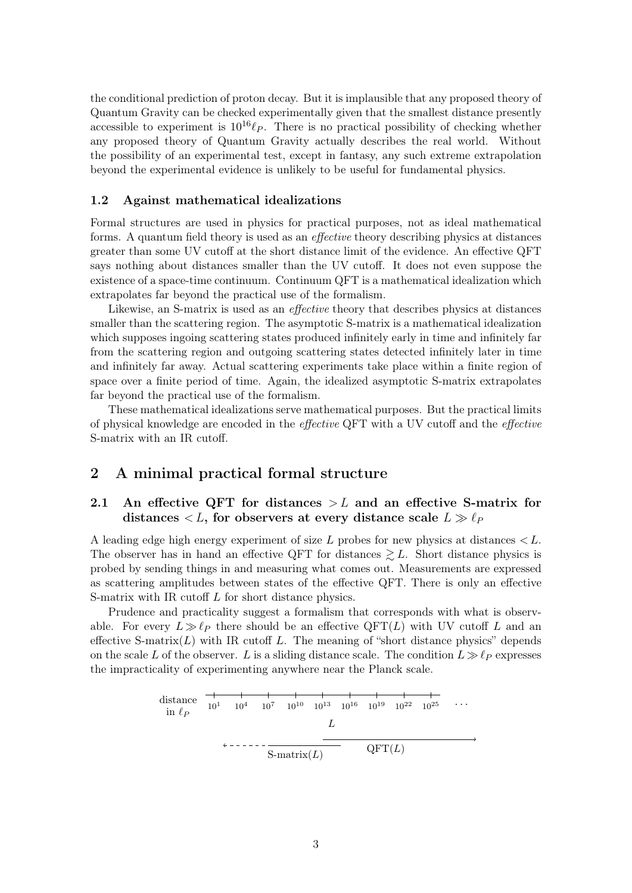the conditional prediction of proton decay. But it is implausible that any proposed theory of Quantum Gravity can be checked experimentally given that the smallest distance presently accessible to experiment is  $10^{16}\ell_P$ . There is no practical possibility of checking whether any proposed theory of Quantum Gravity actually describes the real world. Without the possibility of an experimental test, except in fantasy, any such extreme extrapolation beyond the experimental evidence is unlikely to be useful for fundamental physics.

#### <span id="page-2-0"></span>1.2 Against mathematical idealizations

Formal structures are used in physics for practical purposes, not as ideal mathematical forms. A quantum field theory is used as an effective theory describing physics at distances greater than some UV cutoff at the short distance limit of the evidence. An effective QFT says nothing about distances smaller than the UV cutoff. It does not even suppose the existence of a space-time continuum. Continuum QFT is a mathematical idealization which extrapolates far beyond the practical use of the formalism.

Likewise, an S-matrix is used as an effective theory that describes physics at distances smaller than the scattering region. The asymptotic S-matrix is a mathematical idealization which supposes ingoing scattering states produced infinitely early in time and infinitely far from the scattering region and outgoing scattering states detected infinitely later in time and infinitely far away. Actual scattering experiments take place within a finite region of space over a finite period of time. Again, the idealized asymptotic S-matrix extrapolates far beyond the practical use of the formalism.

These mathematical idealizations serve mathematical purposes. But the practical limits of physical knowledge are encoded in the effective QFT with a UV cutoff and the effective S-matrix with an IR cutoff.

# <span id="page-2-1"></span>2 A minimal practical formal structure

### <span id="page-2-2"></span>2.1 An effective QFT for distances  $>L$  and an effective S-matrix for distances  $\langle L, \text{ for observers at every distance scale } L \gg \ell_P$

A leading edge high energy experiment of size  $L$  probes for new physics at distances  $\lt L$ . The observer has in hand an effective QFT for distances  $\geq L$ . Short distance physics is probed by sending things in and measuring what comes out. Measurements are expressed as scattering amplitudes between states of the effective QFT. There is only an effective S-matrix with IR cutoff L for short distance physics.

Prudence and practicality suggest a formalism that corresponds with what is observable. For every  $L \gg \ell_P$  there should be an effective QFT(L) with UV cutoff L and an effective S-matrix( $L$ ) with IR cutoff L. The meaning of "short distance physics" depends on the scale L of the observer. L is a sliding distance scale. The condition  $L \gg \ell_P$  expresses the impracticality of experimenting anywhere near the Planck scale.

distance 
$$
\frac{1}{10^1}
$$
  $\frac{1}{10^4}$   $\frac{1}{10^7}$   $\frac{1}{10^{10}}$   $\frac{1}{10^{13}}$   $\frac{1}{10^{16}}$   $\frac{1}{10^{19}}$   $\frac{1}{10^{22}}$   $\frac{1}{10^{25}}$  ...  
\nL  
\n $\leftarrow$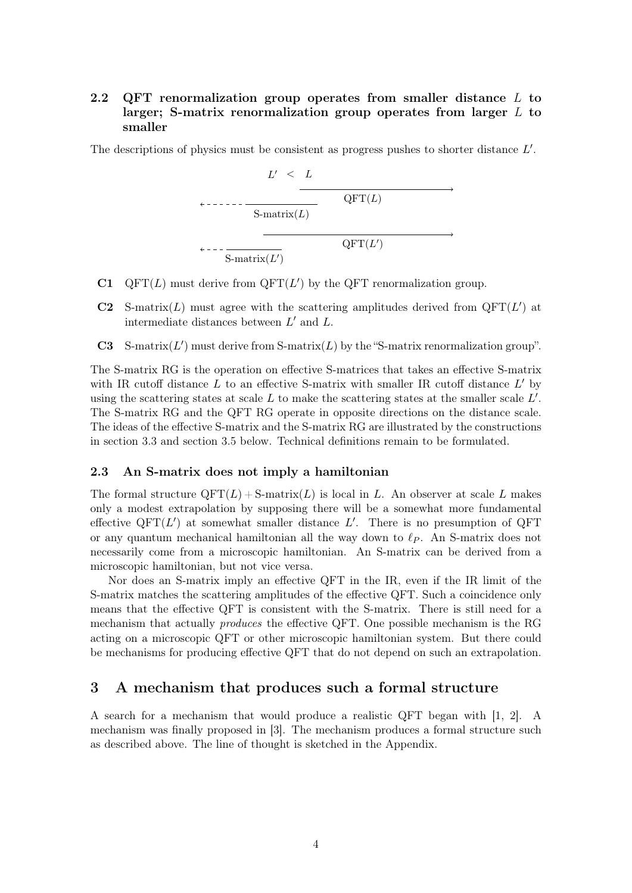# <span id="page-3-0"></span>2.2 QFT renormalization group operates from smaller distance  $L$  to larger; S-matrix renormalization group operates from larger  $L$  to smaller

The descriptions of physics must be consistent as progress pushes to shorter distance  $L'$ .

$$
L' < L
$$
\n
$$
\longleftarrow
$$
\n
$$
\longleftarrow
$$
\n
$$
\longleftarrow
$$
\n
$$
\longleftarrow
$$
\n
$$
\longleftarrow
$$
\nQFT(L)\n
$$
\longleftarrow
$$
\nQFT(L')\n
$$
\longleftarrow
$$
\nQFT(L')

- C1 QFT $(L)$  must derive from QFT $(L')$  by the QFT renormalization group.
- C2 S-matrix(L) must agree with the scattering amplitudes derived from  $QFT(L')$  at intermediate distances between  $L'$  and  $L$ .
- C3 S-matrix $(L')$  must derive from S-matrix $(L)$  by the "S-matrix renormalization group".

The S-matrix RG is the operation on effective S-matrices that takes an effective S-matrix with IR cutoff distance  $L$  to an effective S-matrix with smaller IR cutoff distance  $L'$  by using the scattering states at scale  $L$  to make the scattering states at the smaller scale  $L'$ . The S-matrix RG and the QFT RG operate in opposite directions on the distance scale. The ideas of the effective S-matrix and the S-matrix RG are illustrated by the constructions in section [3.3](#page-6-0) and section [3.5](#page-6-2) below. Technical definitions remain to be formulated.

### <span id="page-3-1"></span>2.3 An S-matrix does not imply a hamiltonian

The formal structure  $QFT(L) + S-matrix(L)$  is local in L. An observer at scale L makes only a modest extrapolation by supposing there will be a somewhat more fundamental effective  $QFT(L')$  at somewhat smaller distance  $L'$ . There is no presumption of  $QFT$ or any quantum mechanical hamiltonian all the way down to  $\ell_P$ . An S-matrix does not necessarily come from a microscopic hamiltonian. An S-matrix can be derived from a microscopic hamiltonian, but not vice versa.

Nor does an S-matrix imply an effective QFT in the IR, even if the IR limit of the S-matrix matches the scattering amplitudes of the effective QFT. Such a coincidence only means that the effective QFT is consistent with the S-matrix. There is still need for a mechanism that actually produces the effective QFT. One possible mechanism is the RG acting on a microscopic QFT or other microscopic hamiltonian system. But there could be mechanisms for producing effective QFT that do not depend on such an extrapolation.

### <span id="page-3-2"></span>3 A mechanism that produces such a formal structure

A search for a mechanism that would produce a realistic QFT began with [\[1,](#page-14-0) [2\]](#page-14-1). A mechanism was finally proposed in [\[3\]](#page-14-2). The mechanism produces a formal structure such as described above. The line of thought is sketched in the Appendix.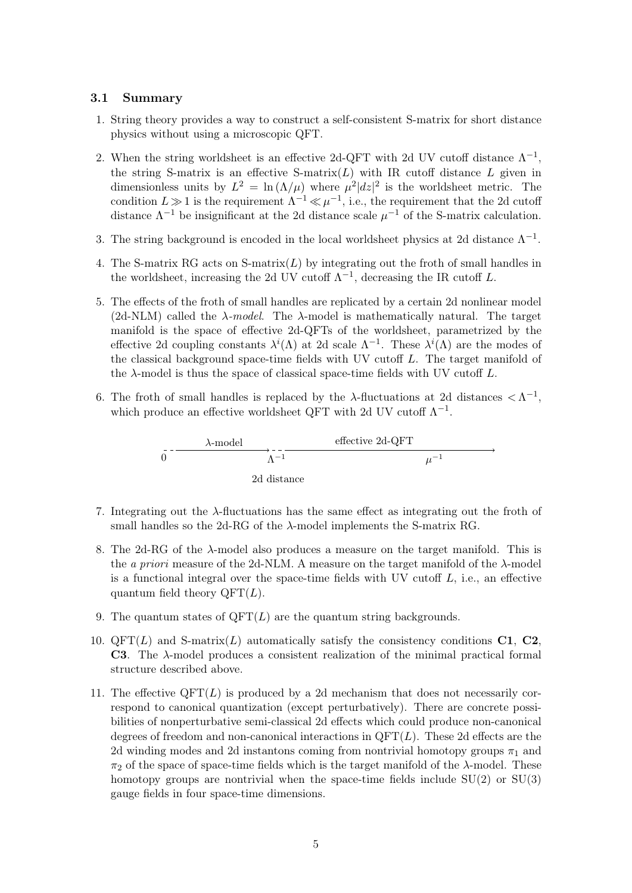#### <span id="page-4-0"></span>3.1 Summary

- 1. String theory provides a way to construct a self-consistent S-matrix for short distance physics without using a microscopic QFT.
- 2. When the string worldsheet is an effective 2d-QFT with 2d UV cutoff distance  $\Lambda^{-1}$ , the string S-matrix is an effective S-matrix $(L)$  with IR cutoff distance  $L$  given in dimensionless units by  $L^2 = \ln(\Lambda/\mu)$  where  $\mu^2|dz|^2$  is the worldsheet metric. The condition  $L \gg 1$  is the requirement  $\Lambda^{-1} \ll \mu^{-1}$ , i.e., the requirement that the 2d cutoff distance  $\Lambda^{-1}$  be insignificant at the 2d distance scale  $\mu^{-1}$  of the S-matrix calculation.
- 3. The string background is encoded in the local worldsheet physics at 2d distance  $\Lambda^{-1}$ .
- 4. The S-matrix RG acts on S-matrix $(L)$  by integrating out the froth of small handles in the worldsheet, increasing the 2d UV cutoff  $\Lambda^{-1}$ , decreasing the IR cutoff L.
- 5. The effects of the froth of small handles are replicated by a certain 2d nonlinear model (2d-NLM) called the  $\lambda$ -model. The  $\lambda$ -model is mathematically natural. The target manifold is the space of effective 2d-QFTs of the worldsheet, parametrized by the effective 2d coupling constants  $\lambda^{i}(\Lambda)$  at 2d scale  $\Lambda^{-1}$ . These  $\lambda^{i}(\Lambda)$  are the modes of the classical background space-time fields with UV cutoff  $L$ . The target manifold of the  $\lambda$ -model is thus the space of classical space-time fields with UV cutoff L.
- 6. The froth of small handles is replaced by the  $\lambda$ -fluctuations at 2d distances  $\langle \Lambda^{-1}, \rangle$ which produce an effective worldsheet QFT with 2d UV cutoff  $\Lambda^{-1}$ .



- 7. Integrating out the λ-fluctuations has the same effect as integrating out the froth of small handles so the 2d-RG of the  $\lambda$ -model implements the S-matrix RG.
- 8. The 2d-RG of the  $\lambda$ -model also produces a measure on the target manifold. This is the *a priori* measure of the 2d-NLM. A measure on the target manifold of the  $\lambda$ -model is a functional integral over the space-time fields with UV cutoff  $L$ , i.e., an effective quantum field theory  $QFT(L)$ .
- 9. The quantum states of  $QFT(L)$  are the quantum string backgrounds.
- 10.  $QFT(L)$  and S-matrix(L) automatically satisfy the consistency conditions C1, C2, C3. The λ-model produces a consistent realization of the minimal practical formal structure described above.
- 11. The effective  $QFT(L)$  is produced by a 2d mechanism that does not necessarily correspond to canonical quantization (except perturbatively). There are concrete possibilities of nonperturbative semi-classical 2d effects which could produce non-canonical degrees of freedom and non-canonical interactions in  $QFT(L)$ . These 2d effects are the 2d winding modes and 2d instantons coming from nontrivial homotopy groups  $\pi_1$  and  $\pi_2$  of the space of space-time fields which is the target manifold of the  $\lambda$ -model. These homotopy groups are nontrivial when the space-time fields include  $SU(2)$  or  $SU(3)$ gauge fields in four space-time dimensions.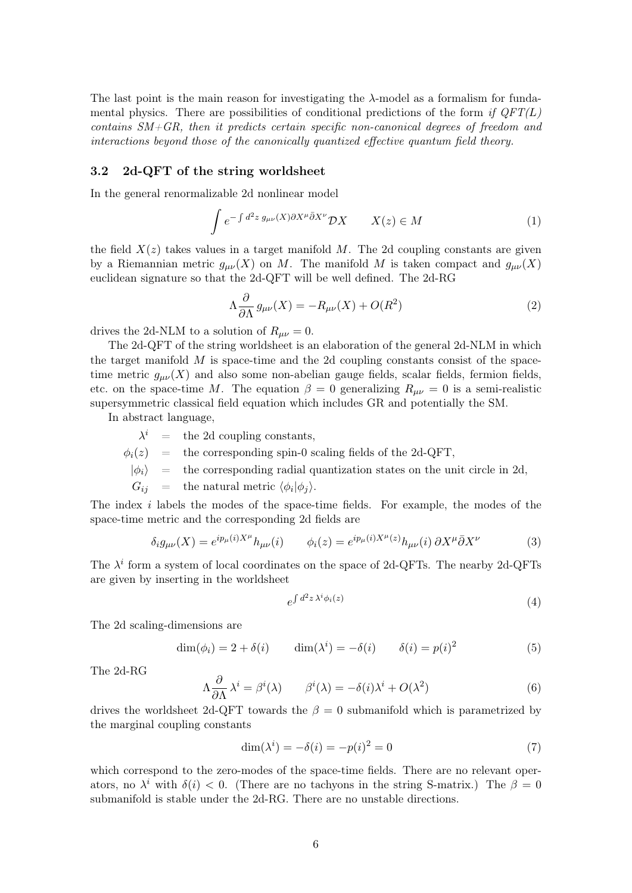The last point is the main reason for investigating the  $\lambda$ -model as a formalism for fundamental physics. There are possibilities of conditional predictions of the form if  $QFT(L)$ contains  $SM+GR$ , then it predicts certain specific non-canonical degrees of freedom and interactions beyond those of the canonically quantized effective quantum field theory.

#### <span id="page-5-0"></span>3.2 2d-QFT of the string worldsheet

In the general renormalizable 2d nonlinear model

$$
\int e^{-\int d^2z \, g_{\mu\nu}(X)\partial X^{\mu}\bar{\partial}X^{\nu}} \mathcal{D}X \qquad X(z) \in M \tag{1}
$$

the field  $X(z)$  takes values in a target manifold M. The 2d coupling constants are given by a Riemannian metric  $g_{\mu\nu}(X)$  on M. The manifold M is taken compact and  $g_{\mu\nu}(X)$ euclidean signature so that the 2d-QFT will be well defined. The 2d-RG

$$
\Lambda \frac{\partial}{\partial \Lambda} g_{\mu\nu}(X) = -R_{\mu\nu}(X) + O(R^2)
$$
\n(2)

drives the 2d-NLM to a solution of  $R_{\mu\nu} = 0$ .

The 2d-QFT of the string worldsheet is an elaboration of the general 2d-NLM in which the target manifold  $M$  is space-time and the 2d coupling constants consist of the spacetime metric  $g_{\mu\nu}(X)$  and also some non-abelian gauge fields, scalar fields, fermion fields, etc. on the space-time M. The equation  $\beta = 0$  generalizing  $R_{\mu\nu} = 0$  is a semi-realistic supersymmetric classical field equation which includes GR and potentially the SM.

In abstract language,

 $\lambda^i$  = the 2d coupling constants,

 $\phi_i(z)$  = the corresponding spin-0 scaling fields of the 2d-QFT,

 $|\phi_i\rangle$  = the corresponding radial quantization states on the unit circle in 2d,

 $G_{ij}$  = the natural metric  $\langle \phi_i | \phi_j \rangle$ .

The index i labels the modes of the space-time fields. For example, the modes of the space-time metric and the corresponding 2d fields are

$$
\delta_i g_{\mu\nu}(X) = e^{ip_\mu(i)X^\mu} h_{\mu\nu}(i) \qquad \phi_i(z) = e^{ip_\mu(i)X^\mu(z)} h_{\mu\nu}(i) \partial X^\mu \bar{\partial} X^\nu \tag{3}
$$

The  $\lambda^i$  form a system of local coordinates on the space of 2d-QFTs. The nearby 2d-QFTs are given by inserting in the worldsheet

$$
e^{\int d^2z \,\lambda^i \phi_i(z)}\tag{4}
$$

The 2d scaling-dimensions are

$$
\dim(\phi_i) = 2 + \delta(i) \qquad \dim(\lambda^i) = -\delta(i) \qquad \delta(i) = p(i)^2 \tag{5}
$$

The 2d-RG

$$
\Lambda \frac{\partial}{\partial \Lambda} \lambda^i = \beta^i(\lambda) \qquad \beta^i(\lambda) = -\delta(i)\lambda^i + O(\lambda^2)
$$
 (6)

drives the worldsheet 2d-QFT towards the  $\beta = 0$  submanifold which is parametrized by the marginal coupling constants

$$
\dim(\lambda^{i}) = -\delta(i) = -p(i)^{2} = 0 \tag{7}
$$

which correspond to the zero-modes of the space-time fields. There are no relevant operators, no  $\lambda^i$  with  $\delta(i) < 0$ . (There are no tachyons in the string S-matrix.) The  $\beta = 0$ submanifold is stable under the 2d-RG. There are no unstable directions.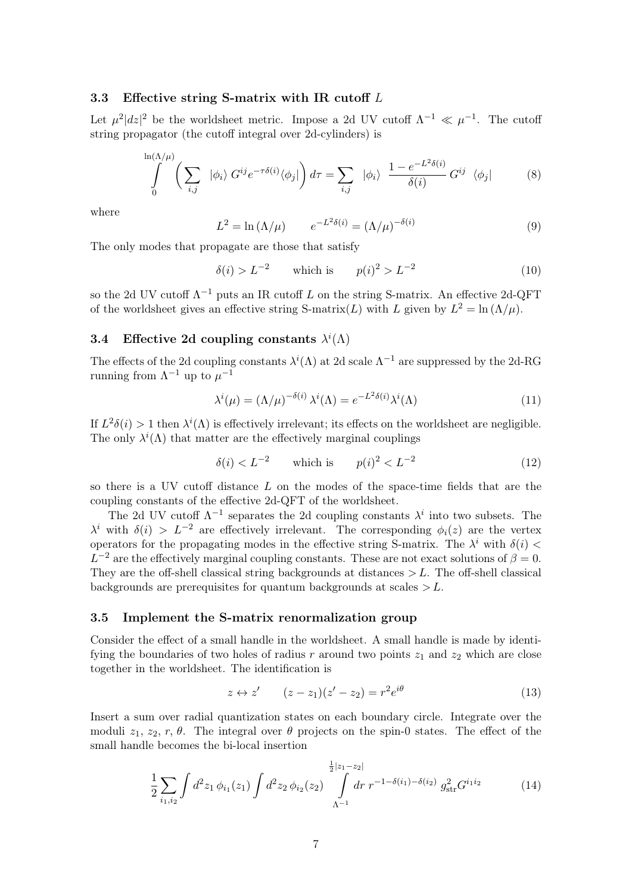### <span id="page-6-0"></span>3.3 Effective string S-matrix with IR cutoff  $L$

Let  $\mu^2 |dz|^2$  be the worldsheet metric. Impose a 2d UV cutoff  $\Lambda^{-1} \ll \mu^{-1}$ . The cutoff string propagator (the cutoff integral over 2d-cylinders) is

$$
\int_{0}^{\ln(\Lambda/\mu)} \left(\sum_{i,j} |\phi_i\rangle G^{ij} e^{-\tau \delta(i)} \langle \phi_j| \right) d\tau = \sum_{i,j} |\phi_i\rangle \frac{1 - e^{-L^2 \delta(i)}}{\delta(i)} G^{ij} \langle \phi_j|
$$
 (8)

where

$$
L^{2} = \ln(\Lambda/\mu) \qquad e^{-L^{2}\delta(i)} = (\Lambda/\mu)^{-\delta(i)} \qquad (9)
$$

The only modes that propagate are those that satisfy

$$
\delta(i) > L^{-2}
$$
 which is  $p(i)^2 > L^{-2}$  (10)

so the 2d UV cutoff  $\Lambda^{-1}$  puts an IR cutoff L on the string S-matrix. An effective 2d-QFT of the worldsheet gives an effective string S-matrix(L) with L given by  $L^2 = \ln(\Lambda/\mu)$ .

# <span id="page-6-1"></span>3.4 Effective 2d coupling constants  $\lambda^{i}(\Lambda)$

The effects of the 2d coupling constants  $\lambda^{i}(\Lambda)$  at 2d scale  $\Lambda^{-1}$  are suppressed by the 2d-RG running from  $\Lambda^{-1}$  up to  $\mu^{-1}$ 

$$
\lambda^{i}(\mu) = (\Lambda/\mu)^{-\delta(i)} \lambda^{i}(\Lambda) = e^{-L^{2}\delta(i)} \lambda^{i}(\Lambda)
$$
\n(11)

If  $L^2\delta(i) > 1$  then  $\lambda^i(\Lambda)$  is effectively irrelevant; its effects on the worldsheet are negligible. The only  $\lambda^{i}(\Lambda)$  that matter are the effectively marginal couplings

$$
\delta(i) < L^{-2} \qquad \text{which is} \qquad p(i)^2 < L^{-2} \tag{12}
$$

so there is a UV cutoff distance L on the modes of the space-time fields that are the coupling constants of the effective 2d-QFT of the worldsheet.

The 2d UV cutoff  $\Lambda^{-1}$  separates the 2d coupling constants  $\lambda^i$  into two subsets. The  $\lambda^{i}$  with  $\delta(i) > L^{-2}$  are effectively irrelevant. The corresponding  $\phi_{i}(z)$  are the vertex operators for the propagating modes in the effective string S-matrix. The  $\lambda^i$  with  $\delta(i)$  <  $L^{-2}$  are the effectively marginal coupling constants. These are not exact solutions of  $\beta = 0$ . They are the off-shell classical string backgrounds at distances  $>L$ . The off-shell classical backgrounds are prerequisites for quantum backgrounds at scales  $>L$ .

#### <span id="page-6-2"></span>3.5 Implement the S-matrix renormalization group

Consider the effect of a small handle in the worldsheet. A small handle is made by identifying the boundaries of two holes of radius  $r$  around two points  $z_1$  and  $z_2$  which are close together in the worldsheet. The identification is

$$
z \leftrightarrow z' \qquad (z - z_1)(z' - z_2) = r^2 e^{i\theta} \tag{13}
$$

Insert a sum over radial quantization states on each boundary circle. Integrate over the moduli  $z_1, z_2, r, \theta$ . The integral over  $\theta$  projects on the spin-0 states. The effect of the small handle becomes the bi-local insertion

$$
\frac{1}{2} \sum_{i_1, i_2} \int d^2 z_1 \, \phi_{i_1}(z_1) \int d^2 z_2 \, \phi_{i_2}(z_2) \int \limits_{\Lambda^{-1}}^{\frac{1}{2}|z_1 - z_2|} dr \, r^{-1 - \delta(i_1) - \delta(i_2)} \, g_{\text{str}}^2 G^{i_1 i_2} \tag{14}
$$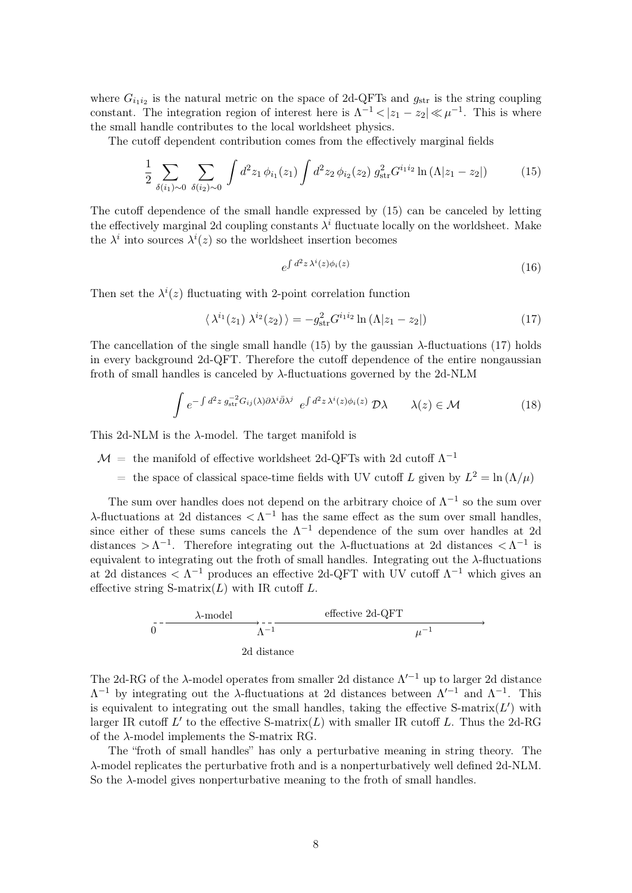where  $G_{i_1 i_2}$  is the natural metric on the space of 2d-QFTs and  $g_{str}$  is the string coupling constant. The integration region of interest here is  $\Lambda^{-1}$  <  $|z_1 - z_2| \ll \mu^{-1}$ . This is where the small handle contributes to the local worldsheet physics.

The cutoff dependent contribution comes from the effectively marginal fields

<span id="page-7-0"></span>
$$
\frac{1}{2} \sum_{\delta(i_1)\sim 0} \sum_{\delta(i_2)\sim 0} \int d^2 z_1 \, \phi_{i_1}(z_1) \int d^2 z_2 \, \phi_{i_2}(z_2) \, g_{\text{str}}^2 G^{i_1 i_2} \ln \left(\Lambda |z_1 - z_2|\right) \tag{15}
$$

The cutoff dependence of the small handle expressed by [\(15\)](#page-7-0) can be canceled by letting the effectively marginal 2d coupling constants  $\lambda^{i}$  fluctuate locally on the worldsheet. Make the  $\lambda^i$  into sources  $\lambda^i(z)$  so the worldsheet insertion becomes

$$
e^{\int d^2z \,\lambda^i(z)\phi_i(z)}\tag{16}
$$

Then set the  $\lambda^{i}(z)$  fluctuating with 2-point correlation function

<span id="page-7-1"></span>
$$
\langle \lambda^{i_1}(z_1) \lambda^{i_2}(z_2) \rangle = -g_{\text{str}}^2 G^{i_1 i_2} \ln \left( \Lambda | z_1 - z_2 | \right) \tag{17}
$$

The cancellation of the single small handle  $(15)$  by the gaussian  $\lambda$ -fluctuations  $(17)$  holds in every background 2d-QFT. Therefore the cutoff dependence of the entire nongaussian froth of small handles is canceled by  $\lambda$ -fluctuations governed by the 2d-NLM

<span id="page-7-2"></span>
$$
\int e^{-\int d^2z \, g_{\rm str}^{-2} G_{ij}(\lambda) \partial \lambda^i \bar{\partial} \lambda^j} \, e^{\int d^2z \, \lambda^i(z) \phi_i(z)} \, \mathcal{D}\lambda \qquad \lambda(z) \in \mathcal{M} \tag{18}
$$

This 2d-NLM is the  $\lambda$ -model. The target manifold is

- $\mathcal{M}$  = the manifold of effective worldsheet 2d-QFTs with 2d cutoff  $\Lambda^{-1}$ 
	- = the space of classical space-time fields with UV cutoff L given by  $L^2 = \ln(\Lambda/\mu)$

The sum over handles does not depend on the arbitrary choice of  $\Lambda^{-1}$  so the sum over  $\lambda$ -fluctuations at 2d distances  $\langle \Lambda^{-1} \rangle$  has the same effect as the sum over small handles, since either of these sums cancels the  $\Lambda^{-1}$  dependence of the sum over handles at 2d distances  $\geq \Lambda^{-1}$ . Therefore integrating out the  $\lambda$ -fluctuations at 2d distances  $\lt \Lambda^{-1}$  is equivalent to integrating out the froth of small handles. Integrating out the  $\lambda$ -fluctuations at 2d distances  $\langle \Lambda^{-1} \rangle$  produces an effective 2d-QFT with UV cutoff  $\Lambda^{-1}$  which gives an effective string  $S$ -matrix $(L)$  with IR cutoff L.

$$
\frac{\lambda\text{-model}}{0}
$$
 
$$
\xrightarrow[\Lambda^{-1}]{}
$$
 
$$
\xrightarrow[\Lambda^{-1}]{}
$$
 2d distance

The 2d-RG of the  $\lambda$ -model operates from smaller 2d distance  $\Lambda'^{-1}$  up to larger 2d distance  $\Lambda^{-1}$  by integrating out the  $\lambda$ -fluctuations at 2d distances between  $\Lambda'^{-1}$  and  $\Lambda^{-1}$ . This is equivalent to integrating out the small handles, taking the effective S-matrix $(L')$  with larger IR cutoff  $L'$  to the effective S-matrix( $L$ ) with smaller IR cutoff  $L$ . Thus the 2d-RG of the λ-model implements the S-matrix RG.

The "froth of small handles" has only a perturbative meaning in string theory. The λ-model replicates the perturbative froth and is a nonperturbatively well defined 2d-NLM. So the  $\lambda$ -model gives nonperturbative meaning to the froth of small handles.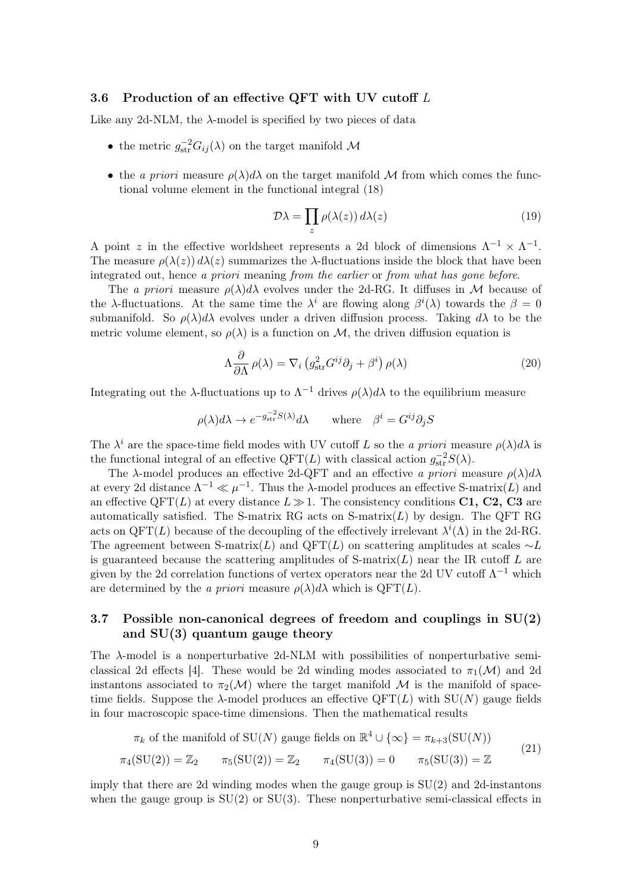### <span id="page-8-0"></span>3.6 Production of an effective QFT with UV cutoff  $L$

Like any 2d-NLM, the  $\lambda$ -model is specified by two pieces of data

- the metric  $g_{\text{str}}^{-2}G_{ij}(\lambda)$  on the target manifold  $\mathcal M$
- the a priori measure  $\rho(\lambda)d\lambda$  on the target manifold M from which comes the functional volume element in the functional integral [\(18\)](#page-7-2)

$$
\mathcal{D}\lambda = \prod_{z} \rho(\lambda(z)) d\lambda(z) \tag{19}
$$

A point z in the effective worldsheet represents a 2d block of dimensions  $\Lambda^{-1} \times \Lambda^{-1}$ . The measure  $\rho(\lambda(z)) d\lambda(z)$  summarizes the  $\lambda$ -fluctuations inside the block that have been integrated out, hence a priori meaning from the earlier or from what has gone before.

The a priori measure  $\rho(\lambda)d\lambda$  evolves under the 2d-RG. It diffuses in M because of the  $\lambda$ -fluctuations. At the same time the  $\lambda^i$  are flowing along  $\beta^i(\lambda)$  towards the  $\beta = 0$ submanifold. So  $\rho(\lambda) d\lambda$  evolves under a driven diffusion process. Taking  $d\lambda$  to be the metric volume element, so  $\rho(\lambda)$  is a function on M, the driven diffusion equation is

$$
\Lambda \frac{\partial}{\partial \Lambda} \rho(\lambda) = \nabla_i \left( g_{\rm str}^2 G^{ij} \partial_j + \beta^i \right) \rho(\lambda) \tag{20}
$$

Integrating out the  $\lambda$ -fluctuations up to  $\Lambda^{-1}$  drives  $\rho(\lambda)d\lambda$  to the equilibrium measure

$$
\rho(\lambda)d\lambda \to e^{-g_{\rm str}^{-2}S(\lambda)}d\lambda \quad \text{where} \quad \beta^i = G^{ij}\partial_j S
$$

The  $\lambda^i$  are the space-time field modes with UV cutoff L so the a priori measure  $\rho(\lambda)d\lambda$  is the functional integral of an effective QFT(L) with classical action  $g_{\text{str}}^{-2}S(\lambda)$ .

The  $\lambda$ -model produces an effective 2d-QFT and an effective a priori measure  $\rho(\lambda)d\lambda$ at every 2d distance  $\Lambda^{-1} \ll \mu^{-1}$ . Thus the  $\lambda$ -model produces an effective S-matrix(L) and an effective QFT(L) at every distance  $L \gg 1$ . The consistency conditions C1, C2, C3 are automatically satisfied. The S-matrix RG acts on S-matrix $(L)$  by design. The QFT RG acts on  $QFT(L)$  because of the decoupling of the effectively irrelevant  $\lambda^{i}(\Lambda)$  in the 2d-RG. The agreement between S-matrix(L) and QFT(L) on scattering amplitudes at scales  $\sim L$ is guaranteed because the scattering amplitudes of  $S$ -matrix $(L)$  near the IR cutoff L are given by the 2d correlation functions of vertex operators near the 2d UV cutoff  $\Lambda^{-1}$  which are determined by the a priori measure  $\rho(\lambda) d\lambda$  which is QFT(L).

### <span id="page-8-1"></span>3.7 Possible non-canonical degrees of freedom and couplings in SU(2) and SU(3) quantum gauge theory

The  $\lambda$ -model is a nonperturbative 2d-NLM with possibilities of nonperturbative semi-classical 2d effects [\[4\]](#page-14-3). These would be 2d winding modes associated to  $\pi_1(\mathcal{M})$  and 2d instantons associated to  $\pi_2(\mathcal{M})$  where the target manifold M is the manifold of spacetime fields. Suppose the  $\lambda$ -model produces an effective QFT(L) with SU(N) gauge fields in four macroscopic space-time dimensions. Then the mathematical results

$$
\pi_k
$$
 of the manifold of SU(N) gauge fields on  $\mathbb{R}^4 \cup {\infty} = \pi_{k+3}(\text{SU}(N))$ 

$$
\pi_4({\rm SU}(2)) = \mathbb{Z}_2 \qquad \pi_5({\rm SU}(2)) = \mathbb{Z}_2 \qquad \pi_4({\rm SU}(3)) = 0 \qquad \pi_5({\rm SU}(3)) = \mathbb{Z}
$$

(21)

imply that there are 2d winding modes when the gauge group is  $SU(2)$  and 2d-instantons when the gauge group is  $SU(2)$  or  $SU(3)$ . These nonperturbative semi-classical effects in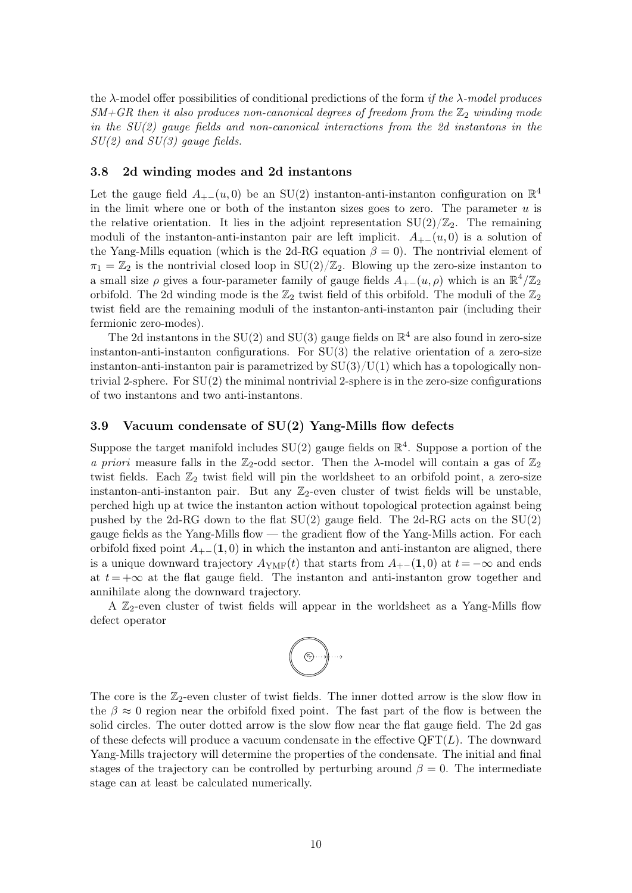the  $\lambda$ -model offer possibilities of conditional predictions of the form if the  $\lambda$ -model produces  $SM+GR$  then it also produces non-canonical degrees of freedom from the  $\mathbb{Z}_2$  winding mode in the SU(2) gauge fields and non-canonical interactions from the 2d instantons in the  $SU(2)$  and  $SU(3)$  gauge fields.

#### <span id="page-9-0"></span>3.8 2d winding modes and 2d instantons

Let the gauge field  $A_{+-}(u,0)$  be an SU(2) instanton-anti-instanton configuration on  $\mathbb{R}^4$ in the limit where one or both of the instanton sizes goes to zero. The parameter  $u$  is the relative orientation. It lies in the adjoint representation  $SU(2)/\mathbb{Z}_2$ . The remaining moduli of the instanton-anti-instanton pair are left implicit.  $A_{+-}(u, 0)$  is a solution of the Yang-Mills equation (which is the 2d-RG equation  $\beta = 0$ ). The nontrivial element of  $\pi_1 = \mathbb{Z}_2$  is the nontrivial closed loop in  $SU(2)/\mathbb{Z}_2$ . Blowing up the zero-size instanton to a small size  $\rho$  gives a four-parameter family of gauge fields  $A_{+-}(u, \rho)$  which is an  $\mathbb{R}^4/\mathbb{Z}_2$ orbifold. The 2d winding mode is the  $\mathbb{Z}_2$  twist field of this orbifold. The moduli of the  $\mathbb{Z}_2$ twist field are the remaining moduli of the instanton-anti-instanton pair (including their fermionic zero-modes).

The 2d instantons in the SU(2) and SU(3) gauge fields on  $\mathbb{R}^4$  are also found in zero-size instanton-anti-instanton configurations. For  $SU(3)$  the relative orientation of a zero-size instanton-anti-instanton pair is parametrized by  $SU(3)/U(1)$  which has a topologically nontrivial 2-sphere. For SU(2) the minimal nontrivial 2-sphere is in the zero-size configurations of two instantons and two anti-instantons.

### <span id="page-9-1"></span>3.9 Vacuum condensate of SU(2) Yang-Mills flow defects

Suppose the target manifold includes  $SU(2)$  gauge fields on  $\mathbb{R}^4$ . Suppose a portion of the a priori measure falls in the  $\mathbb{Z}_2$ -odd sector. Then the  $\lambda$ -model will contain a gas of  $\mathbb{Z}_2$ twist fields. Each  $\mathbb{Z}_2$  twist field will pin the worldsheet to an orbifold point, a zero-size instanton-anti-instanton pair. But any  $\mathbb{Z}_2$ -even cluster of twist fields will be unstable, perched high up at twice the instanton action without topological protection against being pushed by the 2d-RG down to the flat  $SU(2)$  gauge field. The 2d-RG acts on the  $SU(2)$ gauge fields as the Yang-Mills flow — the gradient flow of the Yang-Mills action. For each orbifold fixed point  $A_{+-}(1, 0)$  in which the instanton and anti-instanton are aligned, there is a unique downward trajectory  $A_{\text{YM}}(t)$  that starts from  $A_{+-}(1, 0)$  at  $t = -\infty$  and ends at  $t = +\infty$  at the flat gauge field. The instanton and anti-instanton grow together and annihilate along the downward trajectory.

A  $\mathbb{Z}_2$ -even cluster of twist fields will appear in the worldsheet as a Yang-Mills flow defect operator

$$
\left(\begin{matrix} \cdot & \cdot & \cdot \\ \cdot & \cdot & \cdot \\ \cdot & \cdot & \cdot \end{matrix}\right) \longrightarrow
$$

The core is the  $\mathbb{Z}_2$ -even cluster of twist fields. The inner dotted arrow is the slow flow in the  $\beta \approx 0$  region near the orbifold fixed point. The fast part of the flow is between the solid circles. The outer dotted arrow is the slow flow near the flat gauge field. The 2d gas of these defects will produce a vacuum condensate in the effective  $QFT(L)$ . The downward Yang-Mills trajectory will determine the properties of the condensate. The initial and final stages of the trajectory can be controlled by perturbing around  $\beta = 0$ . The intermediate stage can at least be calculated numerically.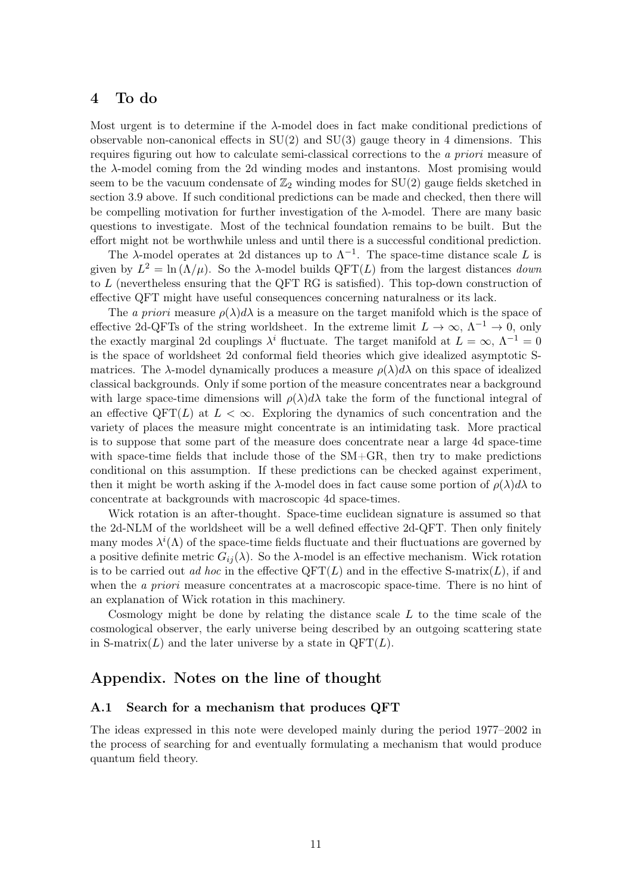# <span id="page-10-0"></span>4 To do

Most urgent is to determine if the  $\lambda$ -model does in fact make conditional predictions of observable non-canonical effects in  $SU(2)$  and  $SU(3)$  gauge theory in 4 dimensions. This requires figuring out how to calculate semi-classical corrections to the a priori measure of the  $\lambda$ -model coming from the 2d winding modes and instantons. Most promising would seem to be the vacuum condensate of  $\mathbb{Z}_2$  winding modes for SU(2) gauge fields sketched in section [3.9](#page-9-1) above. If such conditional predictions can be made and checked, then there will be compelling motivation for further investigation of the  $\lambda$ -model. There are many basic questions to investigate. Most of the technical foundation remains to be built. But the effort might not be worthwhile unless and until there is a successful conditional prediction.

The  $\lambda$ -model operates at 2d distances up to  $\Lambda^{-1}$ . The space-time distance scale L is given by  $L^2 = \ln(\Lambda/\mu)$ . So the  $\lambda$ -model builds QFT(L) from the largest distances *down* to L (nevertheless ensuring that the QFT RG is satisfied). This top-down construction of effective QFT might have useful consequences concerning naturalness or its lack.

The a priori measure  $\rho(\lambda)d\lambda$  is a measure on the target manifold which is the space of effective 2d-QFTs of the string worldsheet. In the extreme limit  $L \to \infty$ ,  $\Lambda^{-1} \to 0$ , only the exactly marginal 2d couplings  $\lambda^i$  fluctuate. The target manifold at  $L = \infty$ ,  $\Lambda^{-1} = 0$ is the space of worldsheet 2d conformal field theories which give idealized asymptotic Smatrices. The  $\lambda$ -model dynamically produces a measure  $\rho(\lambda)d\lambda$  on this space of idealized classical backgrounds. Only if some portion of the measure concentrates near a background with large space-time dimensions will  $\rho(\lambda)d\lambda$  take the form of the functional integral of an effective  $\text{QFT}(L)$  at  $L < \infty$ . Exploring the dynamics of such concentration and the variety of places the measure might concentrate is an intimidating task. More practical is to suppose that some part of the measure does concentrate near a large 4d space-time with space-time fields that include those of the SM+GR, then try to make predictions conditional on this assumption. If these predictions can be checked against experiment, then it might be worth asking if the  $\lambda$ -model does in fact cause some portion of  $\rho(\lambda)d\lambda$  to concentrate at backgrounds with macroscopic 4d space-times.

Wick rotation is an after-thought. Space-time euclidean signature is assumed so that the 2d-NLM of the worldsheet will be a well defined effective 2d-QFT. Then only finitely many modes  $\lambda^{i}(\Lambda)$  of the space-time fields fluctuate and their fluctuations are governed by a positive definite metric  $G_{ij}(\lambda)$ . So the  $\lambda$ -model is an effective mechanism. Wick rotation is to be carried out ad hoc in the effective  $\text{QFT}(L)$  and in the effective S-matrix(L), if and when the *a priori* measure concentrates at a macroscopic space-time. There is no hint of an explanation of Wick rotation in this machinery.

Cosmology might be done by relating the distance scale  $L$  to the time scale of the cosmological observer, the early universe being described by an outgoing scattering state in S-matrix(L) and the later universe by a state in  $QFT(L)$ .

# Appendix. Notes on the line of thought

### <span id="page-10-1"></span>A.1 Search for a mechanism that produces QFT

The ideas expressed in this note were developed mainly during the period 1977–2002 in the process of searching for and eventually formulating a mechanism that would produce quantum field theory.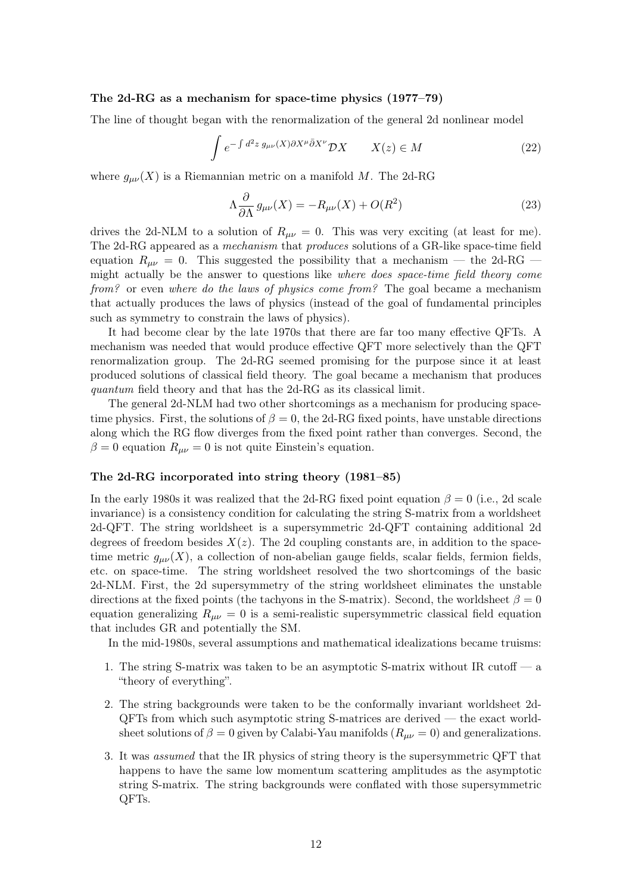#### The 2d-RG as a mechanism for space-time physics (1977–79)

The line of thought began with the renormalization of the general 2d nonlinear model

$$
\int e^{-\int d^2z \, g_{\mu\nu}(X)\partial X^{\mu}\bar{\partial}X^{\nu}} \mathcal{D}X \qquad X(z) \in M \tag{22}
$$

where  $g_{\mu\nu}(X)$  is a Riemannian metric on a manifold M. The 2d-RG

$$
\Lambda \frac{\partial}{\partial \Lambda} g_{\mu\nu}(X) = -R_{\mu\nu}(X) + O(R^2)
$$
\n(23)

drives the 2d-NLM to a solution of  $R_{\mu\nu} = 0$ . This was very exciting (at least for me). The 2d-RG appeared as a mechanism that produces solutions of a GR-like space-time field equation  $R_{\mu\nu} = 0$ . This suggested the possibility that a mechanism — the 2d-RG – might actually be the answer to questions like where does space-time field theory come from? or even where do the laws of physics come from? The goal became a mechanism that actually produces the laws of physics (instead of the goal of fundamental principles such as symmetry to constrain the laws of physics).

It had become clear by the late 1970s that there are far too many effective QFTs. A mechanism was needed that would produce effective QFT more selectively than the QFT renormalization group. The 2d-RG seemed promising for the purpose since it at least produced solutions of classical field theory. The goal became a mechanism that produces quantum field theory and that has the 2d-RG as its classical limit.

The general 2d-NLM had two other shortcomings as a mechanism for producing spacetime physics. First, the solutions of  $\beta = 0$ , the 2d-RG fixed points, have unstable directions along which the RG flow diverges from the fixed point rather than converges. Second, the  $\beta = 0$  equation  $R_{\mu\nu} = 0$  is not quite Einstein's equation.

#### The 2d-RG incorporated into string theory (1981–85)

In the early 1980s it was realized that the 2d-RG fixed point equation  $\beta = 0$  (i.e., 2d scale invariance) is a consistency condition for calculating the string S-matrix from a worldsheet 2d-QFT. The string worldsheet is a supersymmetric 2d-QFT containing additional 2d degrees of freedom besides  $X(z)$ . The 2d coupling constants are, in addition to the spacetime metric  $g_{\mu\nu}(X)$ , a collection of non-abelian gauge fields, scalar fields, fermion fields, etc. on space-time. The string worldsheet resolved the two shortcomings of the basic 2d-NLM. First, the 2d supersymmetry of the string worldsheet eliminates the unstable directions at the fixed points (the tachyons in the S-matrix). Second, the worldsheet  $\beta = 0$ equation generalizing  $R_{\mu\nu} = 0$  is a semi-realistic supersymmetric classical field equation that includes GR and potentially the SM.

In the mid-1980s, several assumptions and mathematical idealizations became truisms:

- 1. The string S-matrix was taken to be an asymptotic S-matrix without IR cutoff a "theory of everything".
- 2. The string backgrounds were taken to be the conformally invariant worldsheet 2d-QFTs from which such asymptotic string S-matrices are derived — the exact worldsheet solutions of  $\beta = 0$  given by Calabi-Yau manifolds  $(R_{\mu\nu} = 0)$  and generalizations.
- 3. It was assumed that the IR physics of string theory is the supersymmetric QFT that happens to have the same low momentum scattering amplitudes as the asymptotic string S-matrix. The string backgrounds were conflated with those supersymmetric QFTs.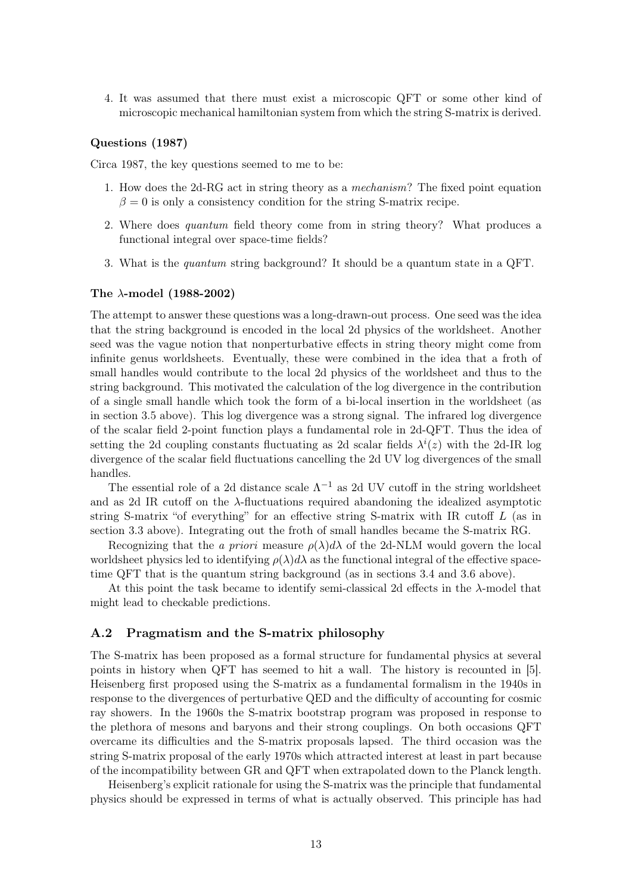4. It was assumed that there must exist a microscopic QFT or some other kind of microscopic mechanical hamiltonian system from which the string S-matrix is derived.

#### Questions (1987)

Circa 1987, the key questions seemed to me to be:

- 1. How does the 2d-RG act in string theory as a mechanism? The fixed point equation  $\beta = 0$  is only a consistency condition for the string S-matrix recipe.
- 2. Where does quantum field theory come from in string theory? What produces a functional integral over space-time fields?
- 3. What is the quantum string background? It should be a quantum state in a QFT.

#### The  $\lambda$ -model (1988-2002)

The attempt to answer these questions was a long-drawn-out process. One seed was the idea that the string background is encoded in the local 2d physics of the worldsheet. Another seed was the vague notion that nonperturbative effects in string theory might come from infinite genus worldsheets. Eventually, these were combined in the idea that a froth of small handles would contribute to the local 2d physics of the worldsheet and thus to the string background. This motivated the calculation of the log divergence in the contribution of a single small handle which took the form of a bi-local insertion in the worldsheet (as in section [3.5](#page-6-2) above). This log divergence was a strong signal. The infrared log divergence of the scalar field 2-point function plays a fundamental role in 2d-QFT. Thus the idea of setting the 2d coupling constants fluctuating as 2d scalar fields  $\lambda^{i}(z)$  with the 2d-IR log divergence of the scalar field fluctuations cancelling the 2d UV log divergences of the small handles.

The essential role of a 2d distance scale  $\Lambda^{-1}$  as 2d UV cutoff in the string worldsheet and as 2d IR cutoff on the  $\lambda$ -fluctuations required abandoning the idealized asymptotic string S-matrix "of everything" for an effective string S-matrix with IR cutoff L (as in section [3.3](#page-6-0) above). Integrating out the froth of small handles became the S-matrix RG.

Recognizing that the a priori measure  $\rho(\lambda)d\lambda$  of the 2d-NLM would govern the local worldsheet physics led to identifying  $\rho(\lambda)d\lambda$  as the functional integral of the effective spacetime QFT that is the quantum string background (as in sections [3.4](#page-6-1) and [3.6](#page-8-0) above).

At this point the task became to identify semi-classical 2d effects in the λ-model that might lead to checkable predictions.

#### <span id="page-12-0"></span>A.2 Pragmatism and the S-matrix philosophy

The S-matrix has been proposed as a formal structure for fundamental physics at several points in history when QFT has seemed to hit a wall. The history is recounted in [\[5\]](#page-14-4). Heisenberg first proposed using the S-matrix as a fundamental formalism in the 1940s in response to the divergences of perturbative QED and the difficulty of accounting for cosmic ray showers. In the 1960s the S-matrix bootstrap program was proposed in response to the plethora of mesons and baryons and their strong couplings. On both occasions QFT overcame its difficulties and the S-matrix proposals lapsed. The third occasion was the string S-matrix proposal of the early 1970s which attracted interest at least in part because of the incompatibility between GR and QFT when extrapolated down to the Planck length.

Heisenberg's explicit rationale for using the S-matrix was the principle that fundamental physics should be expressed in terms of what is actually observed. This principle has had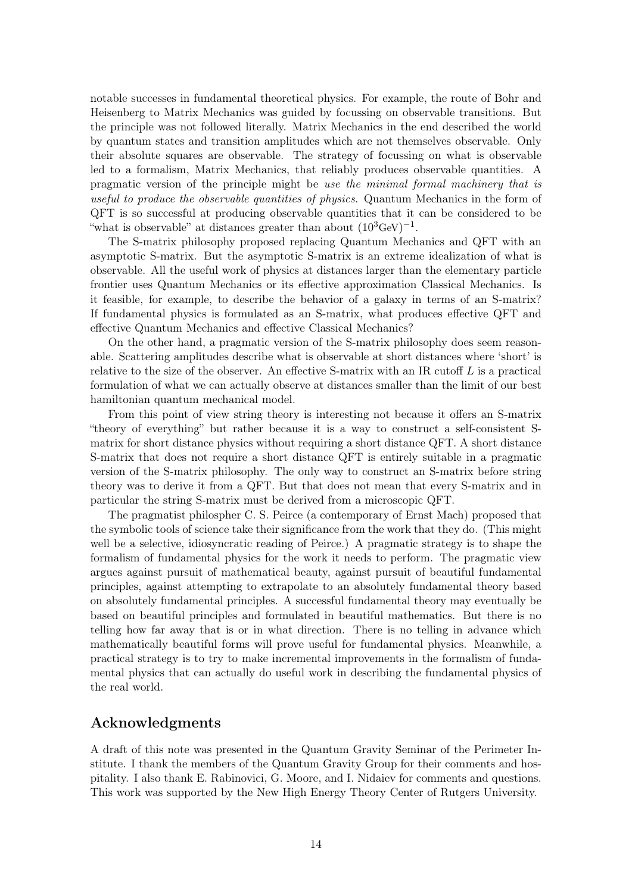notable successes in fundamental theoretical physics. For example, the route of Bohr and Heisenberg to Matrix Mechanics was guided by focussing on observable transitions. But the principle was not followed literally. Matrix Mechanics in the end described the world by quantum states and transition amplitudes which are not themselves observable. Only their absolute squares are observable. The strategy of focussing on what is observable led to a formalism, Matrix Mechanics, that reliably produces observable quantities. A pragmatic version of the principle might be use the minimal formal machinery that is useful to produce the observable quantities of physics. Quantum Mechanics in the form of QFT is so successful at producing observable quantities that it can be considered to be "what is observable" at distances greater than about  $(10^3 \text{GeV})^{-1}$ .

The S-matrix philosophy proposed replacing Quantum Mechanics and QFT with an asymptotic S-matrix. But the asymptotic S-matrix is an extreme idealization of what is observable. All the useful work of physics at distances larger than the elementary particle frontier uses Quantum Mechanics or its effective approximation Classical Mechanics. Is it feasible, for example, to describe the behavior of a galaxy in terms of an S-matrix? If fundamental physics is formulated as an S-matrix, what produces effective QFT and effective Quantum Mechanics and effective Classical Mechanics?

On the other hand, a pragmatic version of the S-matrix philosophy does seem reasonable. Scattering amplitudes describe what is observable at short distances where 'short' is relative to the size of the observer. An effective S-matrix with an IR cutoff  $L$  is a practical formulation of what we can actually observe at distances smaller than the limit of our best hamiltonian quantum mechanical model.

From this point of view string theory is interesting not because it offers an S-matrix "theory of everything" but rather because it is a way to construct a self-consistent Smatrix for short distance physics without requiring a short distance QFT. A short distance S-matrix that does not require a short distance QFT is entirely suitable in a pragmatic version of the S-matrix philosophy. The only way to construct an S-matrix before string theory was to derive it from a QFT. But that does not mean that every S-matrix and in particular the string S-matrix must be derived from a microscopic QFT.

The pragmatist philospher C. S. Peirce (a contemporary of Ernst Mach) proposed that the symbolic tools of science take their significance from the work that they do. (This might well be a selective, idiosyncratic reading of Peirce.) A pragmatic strategy is to shape the formalism of fundamental physics for the work it needs to perform. The pragmatic view argues against pursuit of mathematical beauty, against pursuit of beautiful fundamental principles, against attempting to extrapolate to an absolutely fundamental theory based on absolutely fundamental principles. A successful fundamental theory may eventually be based on beautiful principles and formulated in beautiful mathematics. But there is no telling how far away that is or in what direction. There is no telling in advance which mathematically beautiful forms will prove useful for fundamental physics. Meanwhile, a practical strategy is to try to make incremental improvements in the formalism of fundamental physics that can actually do useful work in describing the fundamental physics of the real world.

# Acknowledgments

A draft of this note was presented in the Quantum Gravity Seminar of the Perimeter Institute. I thank the members of the Quantum Gravity Group for their comments and hospitality. I also thank E. Rabinovici, G. Moore, and I. Nidaiev for comments and questions. This work was supported by the New High Energy Theory Center of Rutgers University.